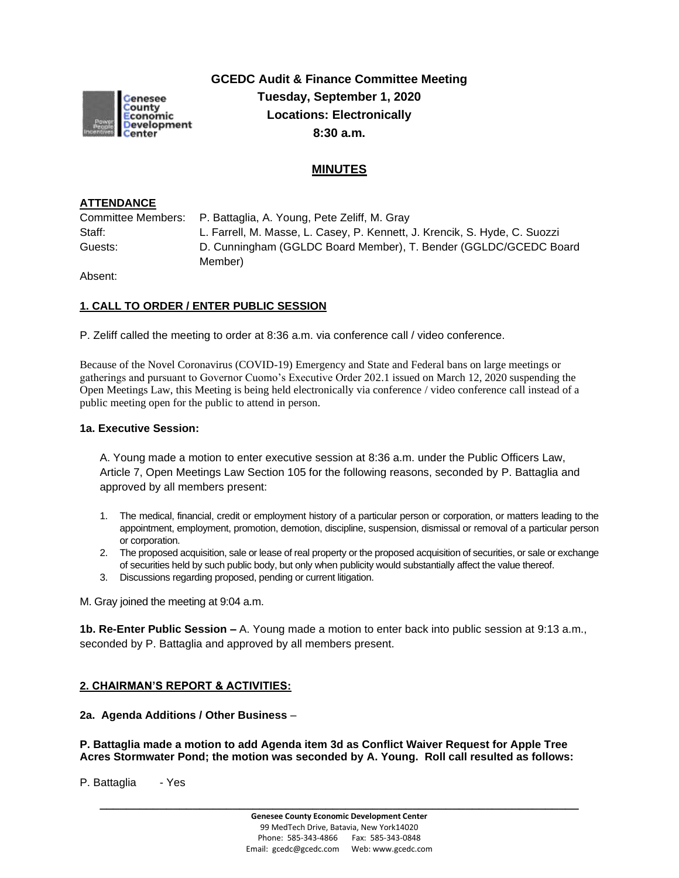

**GCEDC Audit & Finance Committee Meeting Tuesday, September 1, 2020 Locations: Electronically 8:30 a.m.**

# **MINUTES**

## **ATTENDANCE**

Committee Members: P. Battaglia, A. Young, Pete Zeliff, M. Gray Staff: L. Farrell, M. Masse, L. Casey, P. Kennett, J. Krencik, S. Hyde, C. Suozzi Guests: D. Cunningham (GGLDC Board Member), T. Bender (GGLDC/GCEDC Board Member)

Absent:

### **1. CALL TO ORDER / ENTER PUBLIC SESSION**

P. Zeliff called the meeting to order at 8:36 a.m. via conference call / video conference.

Because of the Novel Coronavirus (COVID-19) Emergency and State and Federal bans on large meetings or gatherings and pursuant to Governor Cuomo's Executive Order 202.1 issued on March 12, 2020 suspending the Open Meetings Law, this Meeting is being held electronically via conference / video conference call instead of a public meeting open for the public to attend in person.

#### **1a. Executive Session:**

A. Young made a motion to enter executive session at 8:36 a.m. under the Public Officers Law, Article 7, Open Meetings Law Section 105 for the following reasons, seconded by P. Battaglia and approved by all members present:

- 1. The medical, financial, credit or employment history of a particular person or corporation, or matters leading to the appointment, employment, promotion, demotion, discipline, suspension, dismissal or removal of a particular person or corporation.
- 2. The proposed acquisition, sale or lease of real property or the proposed acquisition of securities, or sale or exchange of securities held by such public body, but only when publicity would substantially affect the value thereof.
- 3. Discussions regarding proposed, pending or current litigation.

M. Gray joined the meeting at 9:04 a.m.

**1b. Re-Enter Public Session –** A. Young made a motion to enter back into public session at 9:13 a.m., seconded by P. Battaglia and approved by all members present.

# **2. CHAIRMAN'S REPORT & ACTIVITIES:**

#### **2a. Agenda Additions / Other Business** –

**P. Battaglia made a motion to add Agenda item 3d as Conflict Waiver Request for Apple Tree Acres Stormwater Pond; the motion was seconded by A. Young. Roll call resulted as follows:**

P. Battaglia - Yes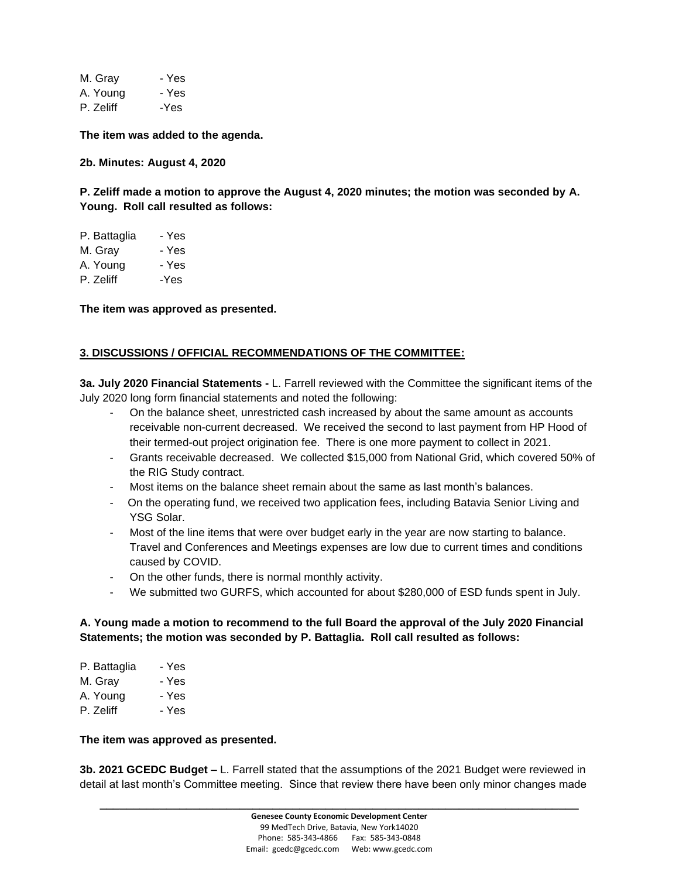M. Gray - Yes A. Young - Yes P. Zeliff -Yes

**The item was added to the agenda.**

**2b. Minutes: August 4, 2020**

**P. Zeliff made a motion to approve the August 4, 2020 minutes; the motion was seconded by A. Young. Roll call resulted as follows:**

| P. Battaglia | - Yes |
|--------------|-------|
| M. Gray      | - Yes |
| A. Young     | - Yes |
| P. Zeliff    | -Yes  |

**The item was approved as presented.**

# **3. DISCUSSIONS / OFFICIAL RECOMMENDATIONS OF THE COMMITTEE:**

**3a. July 2020 Financial Statements -** L. Farrell reviewed with the Committee the significant items of the July 2020 long form financial statements and noted the following:

- On the balance sheet, unrestricted cash increased by about the same amount as accounts receivable non-current decreased. We received the second to last payment from HP Hood of their termed-out project origination fee. There is one more payment to collect in 2021.
- Grants receivable decreased. We collected \$15,000 from National Grid, which covered 50% of the RIG Study contract.
- Most items on the balance sheet remain about the same as last month's balances.
- On the operating fund, we received two application fees, including Batavia Senior Living and YSG Solar.
- Most of the line items that were over budget early in the year are now starting to balance. Travel and Conferences and Meetings expenses are low due to current times and conditions caused by COVID.
- On the other funds, there is normal monthly activity.
- We submitted two GURFS, which accounted for about \$280,000 of ESD funds spent in July.

# **A. Young made a motion to recommend to the full Board the approval of the July 2020 Financial Statements; the motion was seconded by P. Battaglia. Roll call resulted as follows:**

| P. Battaglia | - Yes |
|--------------|-------|
| M. Grav      | - Yes |
| A. Young     | - Yes |
| P. Zeliff    | - Yes |
|              |       |

#### **The item was approved as presented.**

**3b. 2021 GCEDC Budget –** L. Farrell stated that the assumptions of the 2021 Budget were reviewed in detail at last month's Committee meeting. Since that review there have been only minor changes made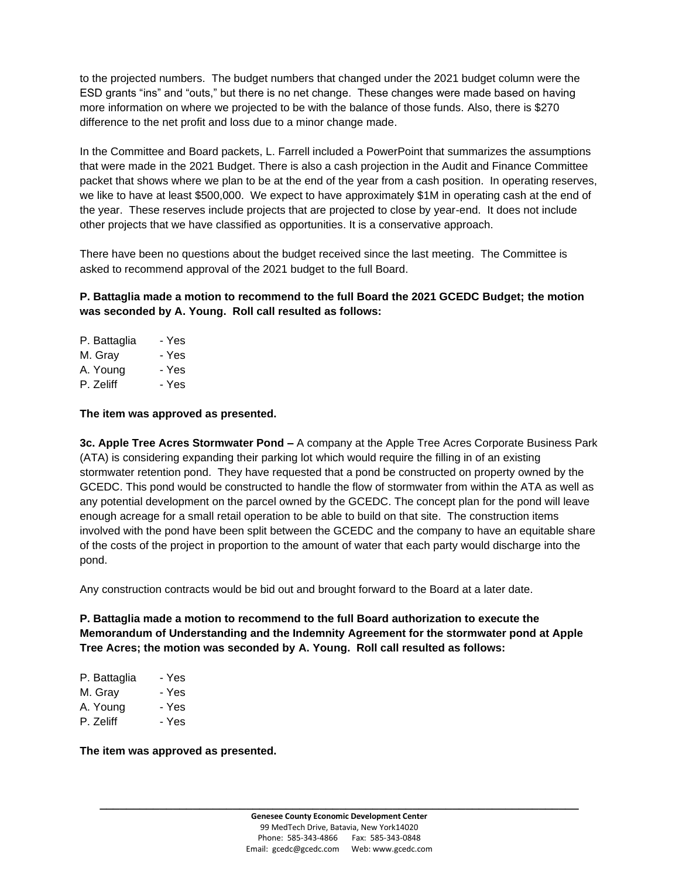to the projected numbers. The budget numbers that changed under the 2021 budget column were the ESD grants "ins" and "outs," but there is no net change. These changes were made based on having more information on where we projected to be with the balance of those funds. Also, there is \$270 difference to the net profit and loss due to a minor change made.

In the Committee and Board packets, L. Farrell included a PowerPoint that summarizes the assumptions that were made in the 2021 Budget. There is also a cash projection in the Audit and Finance Committee packet that shows where we plan to be at the end of the year from a cash position. In operating reserves, we like to have at least \$500,000. We expect to have approximately \$1M in operating cash at the end of the year. These reserves include projects that are projected to close by year-end. It does not include other projects that we have classified as opportunities. It is a conservative approach.

There have been no questions about the budget received since the last meeting. The Committee is asked to recommend approval of the 2021 budget to the full Board.

**P. Battaglia made a motion to recommend to the full Board the 2021 GCEDC Budget; the motion was seconded by A. Young. Roll call resulted as follows:**

| P. Battaglia | - Yes |
|--------------|-------|
| M. Gray      | - Yes |
| A. Young     | - Yes |
| P. Zeliff    | - Yes |

### **The item was approved as presented.**

**3c. Apple Tree Acres Stormwater Pond –** A company at the Apple Tree Acres Corporate Business Park (ATA) is considering expanding their parking lot which would require the filling in of an existing stormwater retention pond. They have requested that a pond be constructed on property owned by the GCEDC. This pond would be constructed to handle the flow of stormwater from within the ATA as well as any potential development on the parcel owned by the GCEDC. The concept plan for the pond will leave enough acreage for a small retail operation to be able to build on that site. The construction items involved with the pond have been split between the GCEDC and the company to have an equitable share of the costs of the project in proportion to the amount of water that each party would discharge into the pond.

Any construction contracts would be bid out and brought forward to the Board at a later date.

**P. Battaglia made a motion to recommend to the full Board authorization to execute the Memorandum of Understanding and the Indemnity Agreement for the stormwater pond at Apple Tree Acres; the motion was seconded by A. Young. Roll call resulted as follows:**

| P. Battaglia | - Yes |
|--------------|-------|
| M. Gray      | - Yes |
| A. Young     | - Yes |
| P. Zeliff    | - Yes |

**The item was approved as presented.**